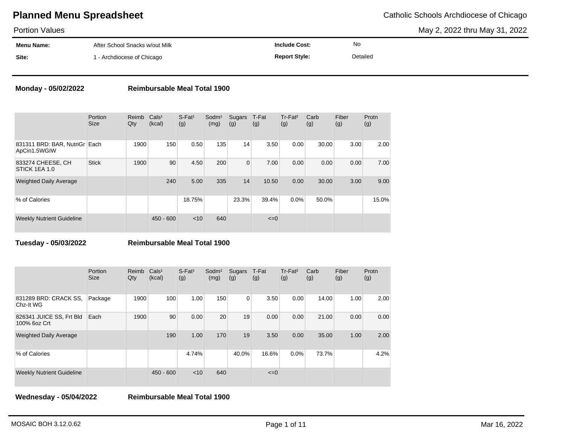May 2, 2022 thru May 31, 2022

| <b>Portion Values</b> |                                |                      |          | May 2, 2022 thru May 31, 2022 |
|-----------------------|--------------------------------|----------------------|----------|-------------------------------|
| Menu Name:            | After School Snacks w/out Milk | <b>Include Cost:</b> | No       |                               |
| Site:                 | 1 - Archdiocese of Chicago     | <b>Report Style:</b> | Detailed |                               |

### **Monday - 05/02/2022 Reimbursable Meal Total 1900**

|                                               | Portion<br><b>Size</b> | Reimb<br>Qty | Cals <sup>1</sup><br>(kcal) | $S$ -Fat <sup>1</sup><br>(g) | Sodm <sup>1</sup><br>(mg) | Sugars<br>(g)  | T-Fat<br>(g) | Tr-Fat <sup>2</sup><br>(g) | Carb<br>(g) | Fiber<br>(g) | Protn<br>(g) |
|-----------------------------------------------|------------------------|--------------|-----------------------------|------------------------------|---------------------------|----------------|--------------|----------------------------|-------------|--------------|--------------|
| 831311 BRD: BAR, NutriGr Each<br>ApCin1.5WGIW |                        | 1900         | 150                         | 0.50                         | 135                       | 14             | 3.50         | 0.00                       | 30.00       | 3.00         | 2.00         |
| 833274 CHEESE, CH<br>STICK 1EA 1.0            | <b>Stick</b>           | 1900         | 90                          | 4.50                         | 200                       | $\overline{0}$ | 7.00         | 0.00                       | 0.00        | 0.00         | 7.00         |
| <b>Weighted Daily Average</b>                 |                        |              | 240                         | 5.00                         | 335                       | 14             | 10.50        | 0.00                       | 30.00       | 3.00         | 9.00         |
| % of Calories                                 |                        |              |                             | 18.75%                       |                           | 23.3%          | 39.4%        | 0.0%                       | 50.0%       |              | 15.0%        |
| <b>Weekly Nutrient Guideline</b>              |                        |              | $450 - 600$                 | < 10                         | 640                       |                | $\leq=0$     |                            |             |              |              |

**Tuesday - 05/03/2022 Reimbursable Meal Total 1900**

|                                          | Portion<br><b>Size</b> | Reimb<br>Qty | Cals <sup>1</sup><br>(kcal) | $S$ -Fat <sup>1</sup><br>(g) | Sodm <sup>1</sup><br>(mg) | Sugars<br>(g)  | T-Fat<br>(g) | Tr-Fat <sup>2</sup><br>(g) | Carb<br>(g) | Fiber<br>(g) | Protn<br>(g) |
|------------------------------------------|------------------------|--------------|-----------------------------|------------------------------|---------------------------|----------------|--------------|----------------------------|-------------|--------------|--------------|
| 831289 BRD: CRACK SS,<br>Chz-It WG       | Package                | 1900         | 100                         | 1.00                         | 150                       | $\overline{0}$ | 3.50         | 0.00                       | 14.00       | 1.00         | 2.00         |
| 826341 JUICE SS, Frt Bld<br>100% 6oz Crt | Each                   | 1900         | 90                          | 0.00                         | 20                        | 19             | 0.00         | 0.00                       | 21.00       | 0.00         | 0.00         |
| <b>Weighted Daily Average</b>            |                        |              | 190                         | 1.00                         | 170                       | 19             | 3.50         | 0.00                       | 35.00       | 1.00         | 2.00         |
| % of Calories                            |                        |              |                             | 4.74%                        |                           | 40.0%          | 16.6%        | 0.0%                       | 73.7%       |              | 4.2%         |
| <b>Weekly Nutrient Guideline</b>         |                        |              | $450 - 600$                 | < 10                         | 640                       |                | $\leq=0$     |                            |             |              |              |

**Wednesday - 05/04/2022 Reimbursable Meal Total 1900**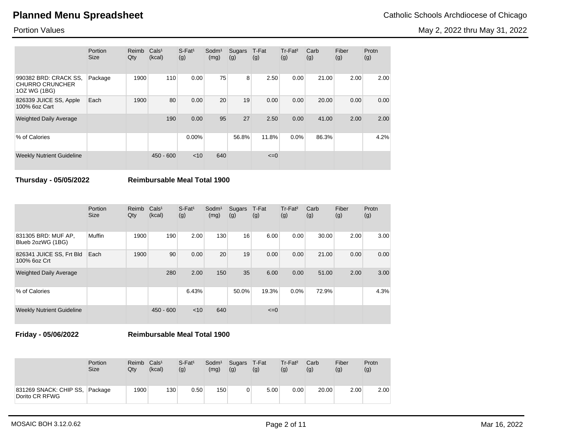May 2, 2022 thru May 31, 2022

Portion Values

|                                                                 | Portion<br><b>Size</b> | Reimb<br>Qty | Cals <sup>1</sup><br>(kcal) | $S$ -Fat <sup>1</sup><br>(g) | Sodm <sup>1</sup><br>(mg) | Sugars<br>(g) | T-Fat<br>(g) | Tr-Fat <sup>2</sup><br>(g) | Carb<br>(g) | Fiber<br>(g) | Protn<br>(g) |
|-----------------------------------------------------------------|------------------------|--------------|-----------------------------|------------------------------|---------------------------|---------------|--------------|----------------------------|-------------|--------------|--------------|
| 990382 BRD: CRACK SS,<br><b>CHURRO CRUNCHER</b><br>10Z WG (1BG) | Package                | 1900         | 110                         | 0.00                         | 75                        | 8             | 2.50         | 0.00                       | 21.00       | 2.00         | 2.00         |
| 826339 JUICE SS, Apple<br>100% 6oz Cart                         | Each                   | 1900         | 80                          | 0.00                         | 20                        | 19            | 0.00         | 0.00                       | 20.00       | 0.00         | 0.00         |
| <b>Weighted Daily Average</b>                                   |                        |              | 190                         | 0.00                         | 95                        | 27            | 2.50         | 0.00                       | 41.00       | 2.00         | 2.00         |
| % of Calories                                                   |                        |              |                             | $0.00\%$                     |                           | 56.8%         | 11.8%        | 0.0%                       | 86.3%       |              | 4.2%         |
| <b>Weekly Nutrient Guideline</b>                                |                        |              | $450 - 600$                 | < 10                         | 640                       |               | $\leq=0$     |                            |             |              |              |

**Thursday - 05/05/2022 Reimbursable Meal Total 1900**

|                                          | Portion<br><b>Size</b> | Reimb<br>Qty | Cals <sup>1</sup><br>(kcal) | $S$ -Fat <sup>1</sup><br>(g) | Sodm <sup>1</sup><br>(mg) | Sugars<br>(g) | T-Fat<br>(g) | $Tr-Fat2$<br>(g) | Carb<br>(g) | Fiber<br>(g) | Protn<br>(g) |
|------------------------------------------|------------------------|--------------|-----------------------------|------------------------------|---------------------------|---------------|--------------|------------------|-------------|--------------|--------------|
| 831305 BRD: MUF AP,<br>Blueb 2ozWG (1BG) | Muffin                 | 1900         | 190                         | 2.00                         | 130                       | 16            | 6.00         | 0.00             | 30.00       | 2.00         | 3.00         |
| 826341 JUICE SS, Frt Bld<br>100% 6oz Crt | Each                   | 1900         | 90                          | 0.00                         | 20                        | 19            | 0.00         | 0.00             | 21.00       | 0.00         | 0.00         |
| <b>Weighted Daily Average</b>            |                        |              | 280                         | 2.00                         | 150                       | 35            | 6.00         | 0.00             | 51.00       | 2.00         | 3.00         |
| % of Calories                            |                        |              |                             | 6.43%                        |                           | 50.0%         | 19.3%        | 0.0%             | 72.9%       |              | 4.3%         |
| <b>Weekly Nutrient Guideline</b>         |                        |              | $450 - 600$                 | $<$ 10                       | 640                       |               | $\leq=0$     |                  |             |              |              |

**Friday - 05/06/2022 Reimbursable Meal Total 1900**

|                                                  | Portion<br><b>Size</b> | Reimb<br>Qty | Cals <sup>1</sup><br>(kcal) | $S$ -Fat <sup>1</sup><br>(g) | Sodm <sup>1</sup><br>(mg) | Sugars T-Fat<br>(g) | (g)  | Tr-Fat <sup>2</sup><br>(g) | Carb<br>(g) | Fiber<br>(g) | Protn<br>(g) |
|--------------------------------------------------|------------------------|--------------|-----------------------------|------------------------------|---------------------------|---------------------|------|----------------------------|-------------|--------------|--------------|
| 831269 SNACK: CHIP SS, Package<br>Dorito CR RFWG |                        | 1900         | 130                         | 0.50                         | 150                       | 0                   | 5.00 | 0.00                       | 20.00       | 2.00         | 2.00         |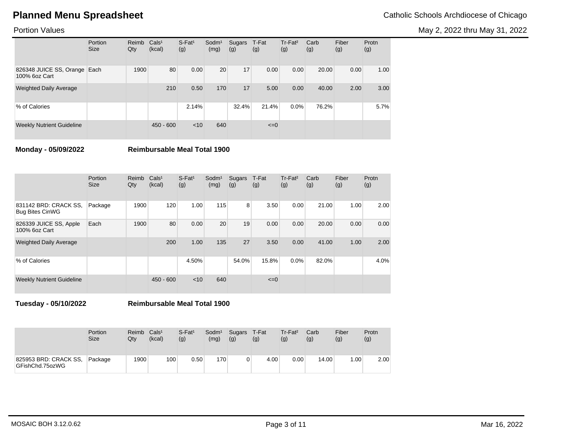May 2, 2022 thru May 31, 2022

## Portion Values

|                                               | Portion<br><b>Size</b> | Reimb<br>Qty | Cals <sup>1</sup><br>(kcal) | $S$ -Fat <sup>1</sup><br>(g) | Sodm <sup>1</sup><br>(mg) | Sugars<br>(g) | T-Fat<br>(g) | Tr-Fat <sup>2</sup><br>(g) | Carb<br>(g) | Fiber<br>(g) | Protn<br>(g) |
|-----------------------------------------------|------------------------|--------------|-----------------------------|------------------------------|---------------------------|---------------|--------------|----------------------------|-------------|--------------|--------------|
| 826348 JUICE SS, Orange Each<br>100% 6oz Cart |                        | 1900         | 80                          | 0.00                         | 20                        | 17            | 0.00         | 0.00                       | 20.00       | 0.00         | 1.00         |
| <b>Weighted Daily Average</b>                 |                        |              | 210                         | 0.50                         | 170                       | 17            | 5.00         | 0.00                       | 40.00       | 2.00         | 3.00         |
| % of Calories                                 |                        |              |                             | 2.14%                        |                           | 32.4%         | 21.4%        | $0.0\%$                    | 76.2%       |              | 5.7%         |
| <b>Weekly Nutrient Guideline</b>              |                        |              | $450 - 600$                 | < 10                         | 640                       |               | $\leq=0$     |                            |             |              |              |

**Monday - 05/09/2022 Reimbursable Meal Total 1900**

|                                                 | Portion<br><b>Size</b> | Reimb<br>Qty | Cals <sup>1</sup><br>(kcal) | $S$ -Fat <sup>1</sup><br>(g) | Sodm <sup>1</sup><br>(mg) | Sugars<br>(g) | T-Fat<br>(g) | Tr-Fat <sup>2</sup><br>(g) | Carb<br>(g) | Fiber<br>(g) | Protn<br>(g) |
|-------------------------------------------------|------------------------|--------------|-----------------------------|------------------------------|---------------------------|---------------|--------------|----------------------------|-------------|--------------|--------------|
| 831142 BRD: CRACK SS,<br><b>Bug Bites CinWG</b> | Package                | 1900         | 120                         | 1.00                         | 115                       | 8             | 3.50         | 0.00                       | 21.00       | 1.00         | 2.00         |
| 826339 JUICE SS, Apple<br>100% 6oz Cart         | Each                   | 1900         | 80                          | 0.00                         | 20                        | 19            | 0.00         | 0.00                       | 20.00       | 0.00         | 0.00         |
| <b>Weighted Daily Average</b>                   |                        |              | 200                         | 1.00                         | 135                       | 27            | 3.50         | 0.00                       | 41.00       | 1.00         | 2.00         |
| % of Calories                                   |                        |              |                             | 4.50%                        |                           | 54.0%         | 15.8%        | 0.0%                       | 82.0%       |              | 4.0%         |
| <b>Weekly Nutrient Guideline</b>                |                        |              | $450 - 600$                 | $<$ 10                       | 640                       |               | $\leq=0$     |                            |             |              |              |

**Tuesday - 05/10/2022 Reimbursable Meal Total 1900**

|                                          | Portion<br><b>Size</b> | Reimb<br>Qtv | Cals <sup>1</sup><br>(kcal) | $S$ -Fat <sup>1</sup><br>(g) | Sodm <sup>1</sup><br>(mg) | Sugars<br>(g) | T-Fat<br>(g) | Tr-Fat <sup>2</sup><br>(g) | Carb<br>(g) | Fiber<br>(g) | Protn<br>(g) |
|------------------------------------------|------------------------|--------------|-----------------------------|------------------------------|---------------------------|---------------|--------------|----------------------------|-------------|--------------|--------------|
| 825953 BRD: CRACK SS,<br>GFishChd.75ozWG | Package                | 1900         | 100                         | 0.50                         | 170                       |               | 4.00         | 0.00                       | 14.00       | .00.         | 2.00         |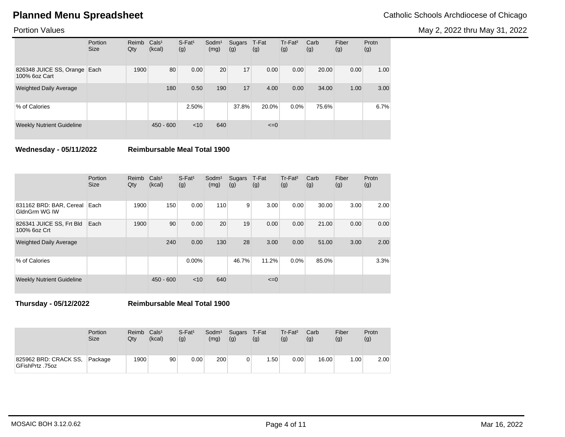May 2, 2022 thru May 31, 2022

## Portion Values

|                                               | Portion<br><b>Size</b> | Reimb<br>Qty | Cals <sup>1</sup><br>(kcal) | $S$ -Fat <sup>1</sup><br>(g) | Sodm <sup>1</sup><br>(mg) | Sugars<br>(g) | T-Fat<br>(g) | Tr-Fat <sup>2</sup><br>(g) | Carb<br>(g) | Fiber<br>(g) | Protn<br>(g) |
|-----------------------------------------------|------------------------|--------------|-----------------------------|------------------------------|---------------------------|---------------|--------------|----------------------------|-------------|--------------|--------------|
| 826348 JUICE SS, Orange Each<br>100% 6oz Cart |                        | 1900         | 80                          | 0.00                         | 20                        | 17            | 0.00         | 0.00                       | 20.00       | 0.00         | 1.00         |
| <b>Weighted Daily Average</b>                 |                        |              | 180                         | 0.50                         | 190                       | 17            | 4.00         | 0.00                       | 34.00       | 1.00         | 3.00         |
| % of Calories                                 |                        |              |                             | 2.50%                        |                           | 37.8%         | 20.0%        | 0.0%                       | 75.6%       |              | 6.7%         |
| <b>Weekly Nutrient Guideline</b>              |                        |              | $450 - 600$                 | < 10                         | 640                       |               | $\leq=0$     |                            |             |              |              |

**Wednesday - 05/11/2022 Reimbursable Meal Total 1900**

|                                          | Portion<br><b>Size</b> | Reimb<br>Qty | Cals <sup>1</sup><br>(kcal) | $S$ -Fat <sup>1</sup><br>(g) | Sodm <sup>1</sup><br>(mg) | Sugars<br>(g) | T-Fat<br>(g) | Tr-Fat <sup>2</sup><br>(g) | Carb<br>(g) | Fiber<br>(g) | Protn<br>(g) |
|------------------------------------------|------------------------|--------------|-----------------------------|------------------------------|---------------------------|---------------|--------------|----------------------------|-------------|--------------|--------------|
| 831162 BRD: BAR, Cereal<br>GldnGrm WG IW | Each                   | 1900         | 150                         | 0.00                         | 110                       | 9             | 3.00         | 0.00                       | 30.00       | 3.00         | 2.00         |
| 826341 JUICE SS, Frt Bld<br>100% 6oz Crt | Each                   | 1900         | 90                          | 0.00                         | 20                        | 19            | 0.00         | 0.00                       | 21.00       | 0.00         | 0.00         |
| <b>Weighted Daily Average</b>            |                        |              | 240                         | 0.00                         | 130                       | 28            | 3.00         | 0.00                       | 51.00       | 3.00         | 2.00         |
| % of Calories                            |                        |              |                             | $0.00\%$                     |                           | 46.7%         | 11.2%        | 0.0%                       | 85.0%       |              | 3.3%         |
| <b>Weekly Nutrient Guideline</b>         |                        |              | $450 - 600$                 | $<$ 10                       | 640                       |               | $\leq=0$     |                            |             |              |              |

**Thursday - 05/12/2022 Reimbursable Meal Total 1900**

|                                          | Portion<br><b>Size</b> | Reimb<br>Qtv | Cals <sup>1</sup><br>(kcal) | $S$ -Fat <sup>1</sup><br>(g) | Sodm <sup>1</sup><br>(mg) | Sugars T-Fat<br>(g) | (g)              | Tr-Fat <sup>2</sup><br>(g) | Carb<br>(g) | Fiber<br>(g) | Protn<br>(g) |
|------------------------------------------|------------------------|--------------|-----------------------------|------------------------------|---------------------------|---------------------|------------------|----------------------------|-------------|--------------|--------------|
| 825962 BRD: CRACK SS,<br>GFishPrtz .75oz | Package                | 1900         | 90                          | 0.00                         | 200                       |                     | .50 <sub>1</sub> | 0.00                       | 16.00       | .00.         | 2.00         |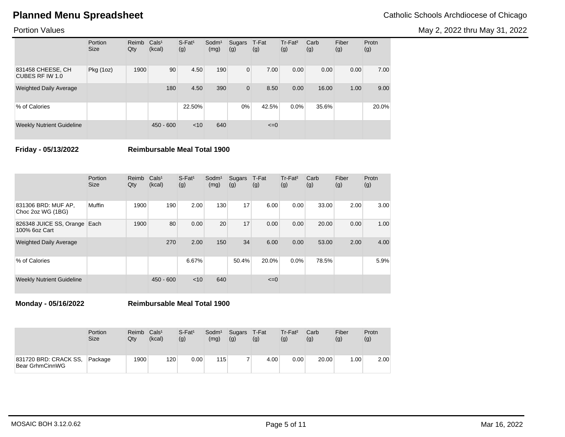May 2, 2022 thru May 31, 2022

## Portion Values

|                                      | Portion<br><b>Size</b> | Reimb<br>Qty | Cals <sup>1</sup><br>(kcal) | $S$ -Fat <sup>1</sup><br>(g) | Sodm <sup>1</sup><br>(mg) | Sugars<br>(g)  | T-Fat<br>(g) | Tr-Fat <sup>2</sup><br>(g) | Carb<br>(g) | Fiber<br>(g) | Protn<br>(g) |
|--------------------------------------|------------------------|--------------|-----------------------------|------------------------------|---------------------------|----------------|--------------|----------------------------|-------------|--------------|--------------|
| 831458 CHEESE, CH<br>CUBES RF IW 1.0 | Pkg (1oz)              | 1900         | 90                          | 4.50                         | 190                       | $\overline{0}$ | 7.00         | 0.00                       | 0.00        | 0.00         | 7.00         |
| <b>Weighted Daily Average</b>        |                        |              | 180                         | 4.50                         | 390                       | $\mathbf 0$    | 8.50         | 0.00                       | 16.00       | 1.00         | 9.00         |
| % of Calories                        |                        |              |                             | 22.50%                       |                           | $0\%$          | 42.5%        | 0.0%                       | 35.6%       |              | 20.0%        |
| <b>Weekly Nutrient Guideline</b>     |                        |              | $450 - 600$                 | < 10                         | 640                       |                | $\leq=0$     |                            |             |              |              |

**Friday - 05/13/2022 Reimbursable Meal Total 1900**

|                                               | Portion<br><b>Size</b> | Reimb<br>Qty | Cals <sup>1</sup><br>(kcal) | $S$ -Fat <sup>1</sup><br>(g) | Sodm <sup>1</sup><br>(mg) | Sugars<br>(g) | T-Fat<br>(g) | Tr-Fat <sup>2</sup><br>(g) | Carb<br>(g) | Fiber<br>(g) | Protn<br>(g) |
|-----------------------------------------------|------------------------|--------------|-----------------------------|------------------------------|---------------------------|---------------|--------------|----------------------------|-------------|--------------|--------------|
| 831306 BRD: MUF AP,<br>Choc 2oz WG (1BG)      | Muffin                 | 1900         | 190                         | 2.00                         | 130                       | 17            | 6.00         | 0.00                       | 33.00       | 2.00         | 3.00         |
| 826348 JUICE SS, Orange Each<br>100% 6oz Cart |                        | 1900         | 80                          | 0.00                         | 20                        | 17            | 0.00         | 0.00                       | 20.00       | 0.00         | 1.00         |
| <b>Weighted Daily Average</b>                 |                        |              | 270                         | 2.00                         | 150                       | 34            | 6.00         | 0.00                       | 53.00       | 2.00         | 4.00         |
| % of Calories                                 |                        |              |                             | 6.67%                        |                           | 50.4%         | 20.0%        | 0.0%                       | 78.5%       |              | 5.9%         |
| <b>Weekly Nutrient Guideline</b>              |                        |              | $450 - 600$                 | $<$ 10                       | 640                       |               | $\leq=0$     |                            |             |              |              |

**Monday - 05/16/2022 Reimbursable Meal Total 1900**

|                                          | Portion     | Reimb | Cals <sup>1</sup> | $S$ -Fat <sup>1</sup> | Sodm <sup>1</sup> | Sugars | T-Fat | $Tr-Fat2$ | Carb  | Fiber | Protn |
|------------------------------------------|-------------|-------|-------------------|-----------------------|-------------------|--------|-------|-----------|-------|-------|-------|
|                                          | <b>Size</b> | Qtv   | (kcal)            | (g)                   | (mg)              | (g)    | (g)   | (g)       | (g)   | (g)   | (g)   |
| 831720 BRD: CRACK SS,<br>Bear GrhmCinnWG | Package     | 1900  | 120               | $0.00\,$              | 115 <sub>1</sub>  |        | 4.00  | 0.00      | 20.00 | .00.  | 2.00  |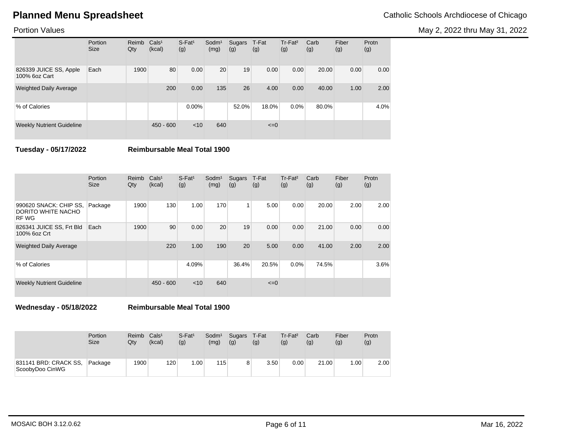May 2, 2022 thru May 31, 2022

## Portion Values

|                                         | Portion<br><b>Size</b> | Reimb<br>Qty | Cals <sup>1</sup><br>(kcal) | $S$ -Fat <sup>1</sup><br>(g) | Sodm <sup>1</sup><br>(mg) | Sugars<br>(g) | T-Fat<br>(g) | Tr-Fat <sup>2</sup><br>(g) | Carb<br>(g) | Fiber<br>(g) | Protn<br>(g) |
|-----------------------------------------|------------------------|--------------|-----------------------------|------------------------------|---------------------------|---------------|--------------|----------------------------|-------------|--------------|--------------|
| 826339 JUICE SS, Apple<br>100% 6oz Cart | Each                   | 1900         | 80                          | 0.00                         | 20                        | 19            | 0.00         | 0.00                       | 20.00       | 0.00         | 0.00         |
| <b>Weighted Daily Average</b>           |                        |              | 200                         | 0.00                         | 135                       | 26            | 4.00         | 0.00                       | 40.00       | 1.00         | 2.00         |
| % of Calories                           |                        |              |                             | $0.00\%$                     |                           | 52.0%         | 18.0%        | $0.0\%$                    | 80.0%       |              | 4.0%         |
| <b>Weekly Nutrient Guideline</b>        |                        |              | $450 - 600$                 | < 10                         | 640                       |               | $\leq=0$     |                            |             |              |              |

**Tuesday - 05/17/2022 Reimbursable Meal Total 1900**

|                                                       | Portion<br><b>Size</b> | Reimb<br>Qty | Cals <sup>1</sup><br>(kcal) | $S$ -Fat <sup>1</sup><br>(g) | Sodm <sup>1</sup><br>(mg) | Sugars<br>(g) | T-Fat<br>(g) | Tr-Fat <sup>2</sup><br>(g) | Carb<br>(g) | Fiber<br>(g) | Protn<br>(g) |
|-------------------------------------------------------|------------------------|--------------|-----------------------------|------------------------------|---------------------------|---------------|--------------|----------------------------|-------------|--------------|--------------|
| 990620 SNACK: CHIP SS,<br>DORITO WHITE NACHO<br>RF WG | Package                | 1900         | 130                         | 1.00                         | 170                       |               | 5.00         | 0.00                       | 20.00       | 2.00         | 2.00         |
| 826341 JUICE SS, Frt Bld<br>100% 6oz Crt              | Each                   | 1900         | 90                          | 0.00                         | 20                        | 19            | 0.00         | 0.00                       | 21.00       | 0.00         | 0.00         |
| <b>Weighted Daily Average</b>                         |                        |              | 220                         | 1.00                         | 190                       | 20            | 5.00         | 0.00                       | 41.00       | 2.00         | 2.00         |
| % of Calories                                         |                        |              |                             | 4.09%                        |                           | 36.4%         | 20.5%        | 0.0%                       | 74.5%       |              | 3.6%         |
| <b>Weekly Nutrient Guideline</b>                      |                        |              | $450 - 600$                 | $<$ 10                       | 640                       |               | $\leq=0$     |                            |             |              |              |

**Wednesday - 05/18/2022 Reimbursable Meal Total 1900**

|                                          | <b>Portion</b> | Reimb | Cals <sup>1</sup> | $S$ -Fat <sup>1</sup> | Sodm <sup>1</sup> | Sugars | T-Fat | Tr-Fat <sup>2</sup> | Carb  | Fiber | Protn |
|------------------------------------------|----------------|-------|-------------------|-----------------------|-------------------|--------|-------|---------------------|-------|-------|-------|
|                                          | <b>Size</b>    | Qtv   | (kcal)            | (g)                   | (mg)              | (g)    | (g)   | (g)                 | (g)   | (g)   | (g)   |
| 831141 BRD: CRACK SS.<br>ScoobyDoo CinWG | Package        | 1900  | 120               | .00 <sub>1</sub>      | 115               | 8      | 3.50  | 0.00                | 21.00 | .00.  | 2.00  |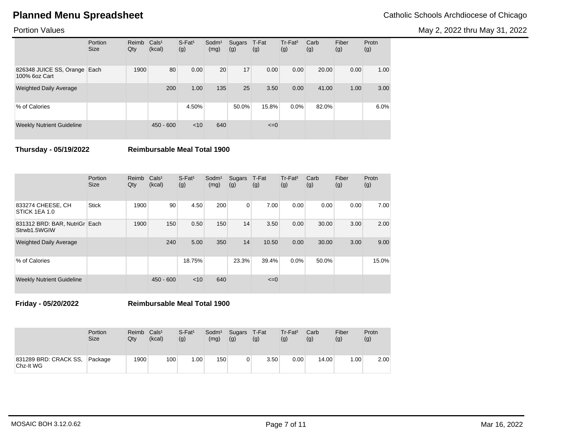May 2, 2022 thru May 31, 2022

## Portion Values

|                                               | Portion<br><b>Size</b> | Reimb<br>Qty | Cals <sup>1</sup><br>(kcal) | $S$ -Fat <sup>1</sup><br>(g) | Sodm <sup>1</sup><br>(mg) | Sugars<br>(g) | T-Fat<br>(g) | Tr-Fat <sup>2</sup><br>(g) | Carb<br>(g) | Fiber<br>(g) | Protn<br>(g) |
|-----------------------------------------------|------------------------|--------------|-----------------------------|------------------------------|---------------------------|---------------|--------------|----------------------------|-------------|--------------|--------------|
| 826348 JUICE SS, Orange Each<br>100% 6oz Cart |                        | 1900         | 80                          | 0.00                         | 20                        | 17            | 0.00         | 0.00                       | 20.00       | 0.00         | 1.00         |
| <b>Weighted Daily Average</b>                 |                        |              | 200                         | 1.00                         | 135                       | 25            | 3.50         | 0.00                       | 41.00       | 1.00         | 3.00         |
| % of Calories                                 |                        |              |                             | 4.50%                        |                           | 50.0%         | 15.8%        | 0.0%                       | 82.0%       |              | 6.0%         |
| <b>Weekly Nutrient Guideline</b>              |                        |              | $450 - 600$                 | < 10                         | 640                       |               | $\leq=0$     |                            |             |              |              |

**Thursday - 05/19/2022 Reimbursable Meal Total 1900**

|                                               | Portion<br><b>Size</b> | Reimb<br>Qty | Cals <sup>1</sup><br>(kcal) | $S$ -Fat <sup>1</sup><br>(g) | Sodm <sup>1</sup><br>(mg) | Sugars<br>(g)  | T-Fat<br>(g) | $Tr-Fat2$<br>(g) | Carb<br>(g) | Fiber<br>(g) | Protn<br>(g) |
|-----------------------------------------------|------------------------|--------------|-----------------------------|------------------------------|---------------------------|----------------|--------------|------------------|-------------|--------------|--------------|
| 833274 CHEESE, CH<br>STICK 1EA 1.0            | <b>Stick</b>           | 1900         | 90                          | 4.50                         | 200                       | $\overline{0}$ | 7.00         | 0.00             | 0.00        | 0.00         | 7.00         |
| 831312 BRD: BAR, NutriGr Each<br>Strwb1.5WGIW |                        | 1900         | 150                         | 0.50                         | 150                       | 14             | 3.50         | 0.00             | 30.00       | 3.00         | 2.00         |
| <b>Weighted Daily Average</b>                 |                        |              | 240                         | 5.00                         | 350                       | 14             | 10.50        | 0.00             | 30.00       | 3.00         | 9.00         |
| % of Calories                                 |                        |              |                             | 18.75%                       |                           | 23.3%          | 39.4%        | 0.0%             | 50.0%       |              | 15.0%        |
| <b>Weekly Nutrient Guideline</b>              |                        |              | $450 - 600$                 | < 10                         | 640                       |                | $\leq=0$     |                  |             |              |              |

**Friday - 05/20/2022 Reimbursable Meal Total 1900**

|                                    | Portion     | Reimb | Cals <sup>1</sup> | $S$ -Fat <sup>1</sup> | Sodm <sup>1</sup> | Sugars | T-Fat | $Tr-Fat2$ | Carb  | Fiber | Protn |
|------------------------------------|-------------|-------|-------------------|-----------------------|-------------------|--------|-------|-----------|-------|-------|-------|
|                                    | <b>Size</b> | Qty   | (kcal)            | (g)                   | (mg)              | (g)    | (g)   | (g)       | (g)   | (g)   | (g)   |
| 831289 BRD: CRACK SS,<br>Chz-It WG | Package     | 1900  | 100               | .00.                  | 150               |        | 3.50  | 0.00      | 14.00 | .00   | 2.00  |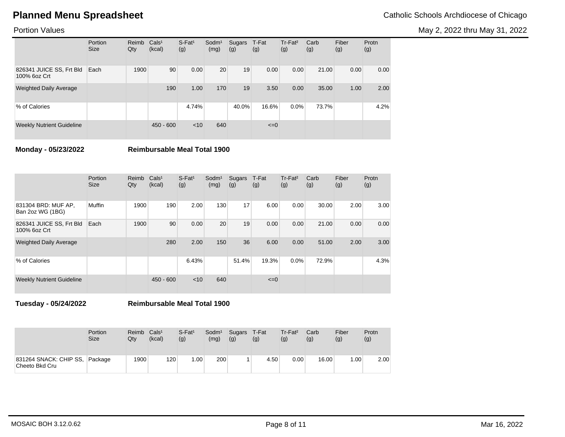May 2, 2022 thru May 31, 2022

## Portion Values

|                                          | Portion<br><b>Size</b> | Reimb<br>Qty | Cals <sup>1</sup><br>(kcal) | $S$ -Fat <sup>1</sup><br>(g) | Sodm <sup>1</sup><br>(mg) | Sugars<br>(g) | T-Fat<br>(g) | Tr-Fat <sup>2</sup><br>(g) | Carb<br>(g) | Fiber<br>(g) | Protn<br>(g) |
|------------------------------------------|------------------------|--------------|-----------------------------|------------------------------|---------------------------|---------------|--------------|----------------------------|-------------|--------------|--------------|
| 826341 JUICE SS, Frt Bld<br>100% 6oz Crt | Each                   | 1900         | 90                          | 0.00                         | 20                        | 19            | 0.00         | 0.00                       | 21.00       | 0.00         | 0.00         |
| <b>Weighted Daily Average</b>            |                        |              | 190                         | 1.00                         | 170                       | 19            | 3.50         | 0.00                       | 35.00       | 1.00         | 2.00         |
| % of Calories                            |                        |              |                             | 4.74%                        |                           | 40.0%         | 16.6%        | $0.0\%$                    | 73.7%       |              | 4.2%         |
| <b>Weekly Nutrient Guideline</b>         |                        |              | $450 - 600$                 | < 10                         | 640                       |               | $\leq=0$     |                            |             |              |              |

**Monday - 05/23/2022 Reimbursable Meal Total 1900**

|                                          | Portion<br><b>Size</b> | Reimb<br>Qty | Cals <sup>1</sup><br>(kcal) | $S$ -Fat <sup>1</sup><br>(g) | Sodm <sup>1</sup><br>(mg) | Sugars<br>(g) | T-Fat<br>(g) | Tr-Fat <sup>2</sup><br>(g) | Carb<br>(g) | Fiber<br>(g) | Protn<br>(g) |
|------------------------------------------|------------------------|--------------|-----------------------------|------------------------------|---------------------------|---------------|--------------|----------------------------|-------------|--------------|--------------|
| 831304 BRD: MUF AP,<br>Ban 2oz WG (1BG)  | Muffin                 | 1900         | 190                         | 2.00                         | 130                       | 17            | 6.00         | 0.00                       | 30.00       | 2.00         | 3.00         |
| 826341 JUICE SS, Frt Bld<br>100% 6oz Crt | Each                   | 1900         | 90                          | 0.00                         | 20                        | 19            | 0.00         | 0.00                       | 21.00       | 0.00         | 0.00         |
| <b>Weighted Daily Average</b>            |                        |              | 280                         | 2.00                         | 150                       | 36            | 6.00         | 0.00                       | 51.00       | 2.00         | 3.00         |
| % of Calories                            |                        |              |                             | 6.43%                        |                           | 51.4%         | 19.3%        | 0.0%                       | 72.9%       |              | 4.3%         |
| <b>Weekly Nutrient Guideline</b>         |                        |              | $450 - 600$                 | $<$ 10                       | 640                       |               | $\leq=0$     |                            |             |              |              |

**Tuesday - 05/24/2022 Reimbursable Meal Total 1900**

|                                          | <b>Portion</b><br><b>Size</b> | Reimb<br>Qtv | Cals <sup>1</sup><br>(kcal) | $S$ -Fat <sup>1</sup><br>(g) | Sodm <sup>1</sup><br>(mg) | Sugars<br>(g) | T-Fat<br>(g) | $Tr-Fat2$<br>(g) | Carb<br>(g) | Fiber<br>(g) | Protn<br>(g) |
|------------------------------------------|-------------------------------|--------------|-----------------------------|------------------------------|---------------------------|---------------|--------------|------------------|-------------|--------------|--------------|
| 831264 SNACK: CHIP SS,<br>Cheeto Bkd Cru | Package                       | 1900         | 120                         | .00 <sub>1</sub>             | 200                       |               | 4.50         | 0.00             | 16.00       | .00.         | 2.00         |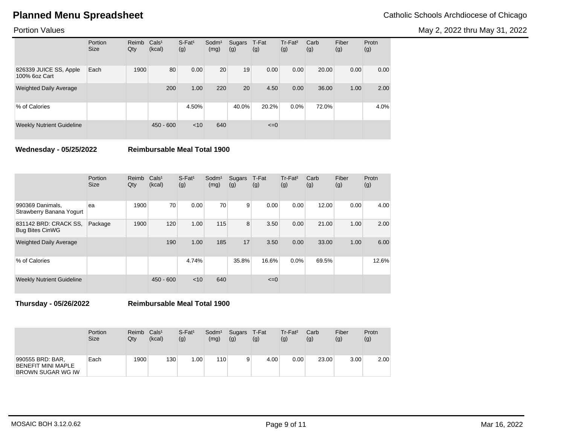May 2, 2022 thru May 31, 2022

## Portion Values

|                                         | Portion<br><b>Size</b> | Reimb<br>Qty | Cals <sup>1</sup><br>(kcal) | $S$ -Fat <sup>1</sup><br>(g) | Sodm <sup>1</sup><br>(mg) | Sugars<br>(g) | T-Fat<br>(g) | Tr-Fat <sup>2</sup><br>(g) | Carb<br>(g) | Fiber<br>(g) | Protn<br>(g) |
|-----------------------------------------|------------------------|--------------|-----------------------------|------------------------------|---------------------------|---------------|--------------|----------------------------|-------------|--------------|--------------|
| 826339 JUICE SS, Apple<br>100% 6oz Cart | Each                   | 1900         | 80                          | 0.00                         | 20                        | 19            | 0.00         | 0.00                       | 20.00       | 0.00         | 0.00         |
| <b>Weighted Daily Average</b>           |                        |              | 200                         | 1.00                         | 220                       | 20            | 4.50         | 0.00                       | 36.00       | 1.00         | 2.00         |
| % of Calories                           |                        |              |                             | 4.50%                        |                           | 40.0%         | 20.2%        | $0.0\%$                    | 72.0%       |              | 4.0%         |
| <b>Weekly Nutrient Guideline</b>        |                        |              | $450 - 600$                 | < 10                         | 640                       |               | $\leq=0$     |                            |             |              |              |

**Wednesday - 05/25/2022 Reimbursable Meal Total 1900**

|                                                 | Portion<br><b>Size</b> | Reimb<br>Qty | Cals <sup>1</sup><br>(kcal) | $S$ -Fat <sup>1</sup><br>(g) | Sodm <sup>1</sup><br>(mg) | Sugars<br>(g) | T-Fat<br>(g) | $Tr-Fat2$<br>(g) | Carb<br>(g) | Fiber<br>(g) | Protn<br>(g) |
|-------------------------------------------------|------------------------|--------------|-----------------------------|------------------------------|---------------------------|---------------|--------------|------------------|-------------|--------------|--------------|
| 990369 Danimals,<br>Strawberry Banana Yogurt    | ea                     | 1900         | 70                          | 0.00                         | 70                        | 9             | 0.00         | 0.00             | 12.00       | 0.00         | 4.00         |
| 831142 BRD: CRACK SS.<br><b>Bug Bites CinWG</b> | Package                | 1900         | 120                         | 1.00                         | 115                       | 8             | 3.50         | 0.00             | 21.00       | 1.00         | 2.00         |
| <b>Weighted Daily Average</b>                   |                        |              | 190                         | 1.00                         | 185                       | 17            | 3.50         | 0.00             | 33.00       | 1.00         | 6.00         |
| % of Calories                                   |                        |              |                             | 4.74%                        |                           | 35.8%         | 16.6%        | 0.0%             | 69.5%       |              | 12.6%        |
| <b>Weekly Nutrient Guideline</b>                |                        |              | $450 - 600$                 | $<$ 10                       | 640                       |               | $\leq$ $=$ 0 |                  |             |              |              |

**Thursday - 05/26/2022 Reimbursable Meal Total 1900**

|                                                                    | Portion<br><b>Size</b> | Reimb<br>Qtv | Cals <sup>1</sup><br>(kcal) | $S$ -Fat <sup>1</sup><br>(g) | Sodm <sup>1</sup><br>(mg) | Sugars<br>(g) | T-Fat<br>(g)      | Tr-Fat <sup>2</sup><br>(g) | Carb<br>(g) | Fiber<br>(g) | Protn<br>(g) |
|--------------------------------------------------------------------|------------------------|--------------|-----------------------------|------------------------------|---------------------------|---------------|-------------------|----------------------------|-------------|--------------|--------------|
| 990555 BRD: BAR,<br><b>BENEFIT MINI MAPLE</b><br>BROWN SUGAR WG IW | Each                   | 1900         | 130                         | 1.00                         | 110                       | 9             | 4.00 <sub>1</sub> | 0.00                       | 23.00       | 3.00         | 2.00         |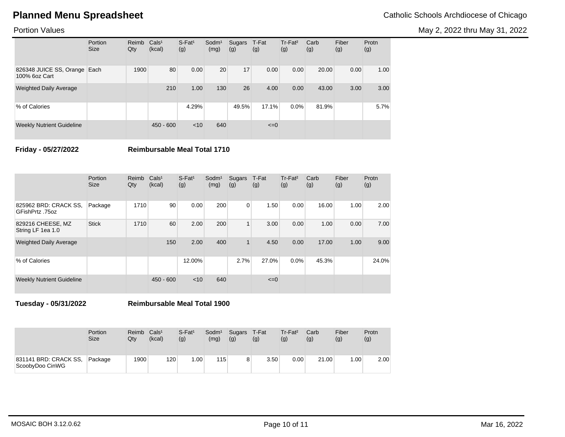May 2, 2022 thru May 31, 2022

## Portion Values

|                                               | Portion<br><b>Size</b> | Reimb<br>Qty | Cals <sup>1</sup><br>(kcal) | $S$ -Fat <sup>1</sup><br>(g) | Sodm <sup>1</sup><br>(mg) | Sugars<br>(g) | T-Fat<br>(g) | $Tr-Fat2$<br>(g) | Carb<br>(g) | Fiber<br>(g) | Protn<br>(g) |
|-----------------------------------------------|------------------------|--------------|-----------------------------|------------------------------|---------------------------|---------------|--------------|------------------|-------------|--------------|--------------|
| 826348 JUICE SS, Orange Each<br>100% 6oz Cart |                        | 1900         | 80                          | 0.00                         | 20                        | 17            | 0.00         | 0.00             | 20.00       | 0.00         | 1.00         |
| <b>Weighted Daily Average</b>                 |                        |              | 210                         | 1.00                         | 130                       | 26            | 4.00         | 0.00             | 43.00       | 3.00         | 3.00         |
| % of Calories                                 |                        |              |                             | 4.29%                        |                           | 49.5%         | 17.1%        | $0.0\%$          | 81.9%       |              | 5.7%         |
| <b>Weekly Nutrient Guideline</b>              |                        |              | $450 - 600$                 | < 10                         | 640                       |               | $\leq=0$     |                  |             |              |              |

**Friday - 05/27/2022 Reimbursable Meal Total 1710**

|                                          | Portion<br><b>Size</b> | Reimb<br>Qty | Cals <sup>1</sup><br>(kcal) | $S$ -Fat <sup>1</sup><br>(g) | Sodm <sup>1</sup><br>(mg) | Sugars<br>(g) | T-Fat<br>(g) | $Tr-Fat2$<br>(g) | Carb<br>(g) | Fiber<br>(g) | Protn<br>(g) |
|------------------------------------------|------------------------|--------------|-----------------------------|------------------------------|---------------------------|---------------|--------------|------------------|-------------|--------------|--------------|
| 825962 BRD: CRACK SS.<br>GFishPrtz .75oz | Package                | 1710         | 90                          | 0.00                         | 200                       | 0             | 1.50         | 0.00             | 16.00       | 1.00         | 2.00         |
| 829216 CHEESE, MZ<br>String LF 1ea 1.0   | <b>Stick</b>           | 1710         | 60                          | 2.00                         | 200                       | $\mathbf{1}$  | 3.00         | 0.00             | 1.00        | 0.00         | 7.00         |
| <b>Weighted Daily Average</b>            |                        |              | 150                         | 2.00                         | 400                       | 1             | 4.50         | 0.00             | 17.00       | 1.00         | 9.00         |
| % of Calories                            |                        |              |                             | 12.00%                       |                           | 2.7%          | 27.0%        | 0.0%             | 45.3%       |              | 24.0%        |
| <b>Weekly Nutrient Guideline</b>         |                        |              | $450 - 600$                 | $<$ 10                       | 640                       |               | $\leq=0$     |                  |             |              |              |

**Tuesday - 05/31/2022 Reimbursable Meal Total 1900**

|                                          | Portion     | Reimb | Cals <sup>1</sup> | $S$ -Fat <sup>1</sup> | Sodm <sup>1</sup> | Sugars | T-Fat | Tr-Fat <sup>2</sup> | Carb  | Fiber | Protn |
|------------------------------------------|-------------|-------|-------------------|-----------------------|-------------------|--------|-------|---------------------|-------|-------|-------|
|                                          | <b>Size</b> | Qtv   | (kcal)            | (g)                   | (mg)              | (g)    | (g)   | (g)                 | (g)   | (g)   | (g)   |
| 831141 BRD: CRACK SS,<br>ScoobyDoo CinWG | Package     | 1900  | 120               | .00.                  | 115               |        | 3.50  | 0.00                | 21.00 | 1.00  | 2.00  |